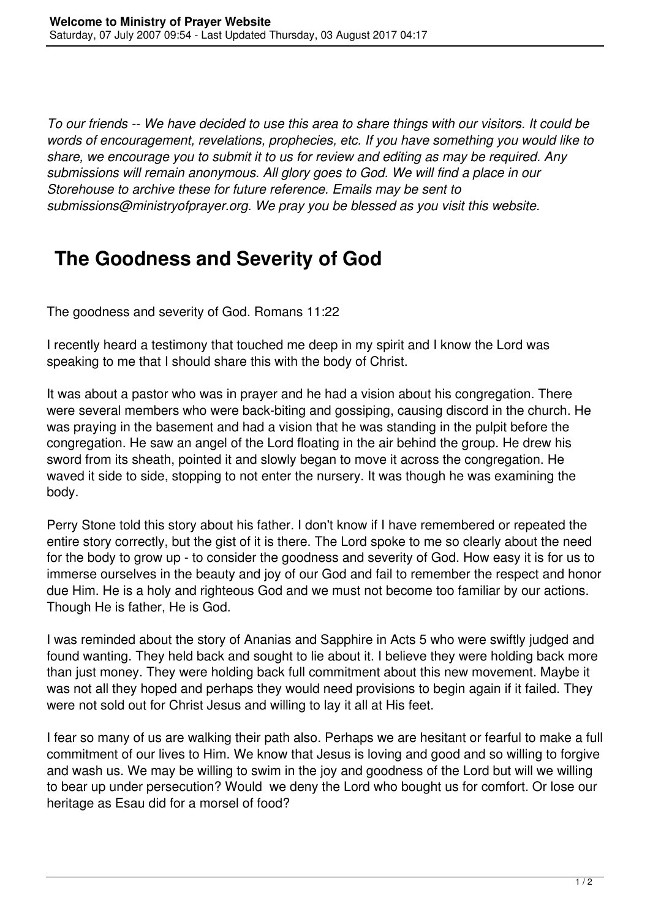*To our friends -- We have decided to use this area to share things with our visitors. It could be words of encouragement, revelations, prophecies, etc. If you have something you would like to share, we encourage you to submit it to us for review and editing as may be required. Any submissions will remain anonymous. All glory goes to God. We will find a place in our Storehouse to archive these for future reference. Emails may be sent to submissions@ministryofprayer.org. We pray you be blessed as you visit this website.*

## **The Goodness and Severity of God**

The goodness and severity of God. Romans 11:22

I recently heard a testimony that touched me deep in my spirit and I know the Lord was speaking to me that I should share this with the body of Christ.

It was about a pastor who was in prayer and he had a vision about his congregation. There were several members who were back-biting and gossiping, causing discord in the church. He was praying in the basement and had a vision that he was standing in the pulpit before the congregation. He saw an angel of the Lord floating in the air behind the group. He drew his sword from its sheath, pointed it and slowly began to move it across the congregation. He waved it side to side, stopping to not enter the nursery. It was though he was examining the body.

Perry Stone told this story about his father. I don't know if I have remembered or repeated the entire story correctly, but the gist of it is there. The Lord spoke to me so clearly about the need for the body to grow up - to consider the goodness and severity of God. How easy it is for us to immerse ourselves in the beauty and joy of our God and fail to remember the respect and honor due Him. He is a holy and righteous God and we must not become too familiar by our actions. Though He is father, He is God.

I was reminded about the story of Ananias and Sapphire in Acts 5 who were swiftly judged and found wanting. They held back and sought to lie about it. I believe they were holding back more than just money. They were holding back full commitment about this new movement. Maybe it was not all they hoped and perhaps they would need provisions to begin again if it failed. They were not sold out for Christ Jesus and willing to lay it all at His feet.

I fear so many of us are walking their path also. Perhaps we are hesitant or fearful to make a full commitment of our lives to Him. We know that Jesus is loving and good and so willing to forgive and wash us. We may be willing to swim in the joy and goodness of the Lord but will we willing to bear up under persecution? Would we deny the Lord who bought us for comfort. Or lose our heritage as Esau did for a morsel of food?